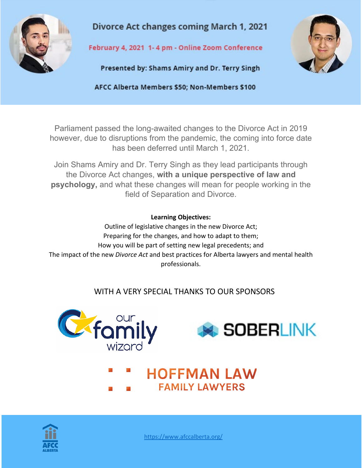

**Divorce Act changes coming March 1, 2021** 

February 4, 2021 1-4 pm - Online Zoom Conference

Presented by: Shams Amiry and Dr. Terry Singh



AFCC Alberta Members \$50; Non-Members \$100

Parliament passed the long-awaited changes to the Divorce Act in 2019 however, due to disruptions from the pandemic, the coming into force date has been deferred until March 1, 2021.

Join Shams Amiry and Dr. Terry Singh as they lead participants through the Divorce Act changes, **with a unique perspective of law and psychology,** and what these changes will mean for people working in the field of Separation and Divorce.

## **Learning Objectives:**

Outline of legislative changes in the new Divorce Act; Preparing for the changes, and how to adapt to them; How you will be part of setting new legal precedents; and The impact of the new *Divorce Act* and best practices for Alberta lawyers and mental health professionals.

## WITH A VERY SPECIAL THANKS TO OUR SPONSORS